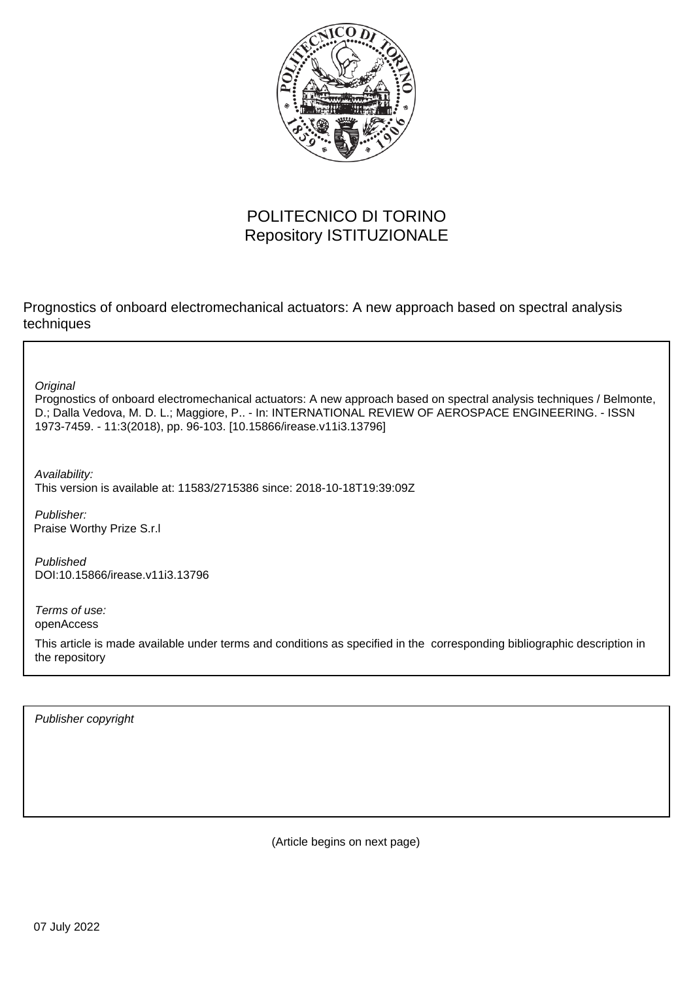

# POLITECNICO DI TORINO Repository ISTITUZIONALE

Prognostics of onboard electromechanical actuators: A new approach based on spectral analysis techniques

**Original** 

Prognostics of onboard electromechanical actuators: A new approach based on spectral analysis techniques / Belmonte, D.; Dalla Vedova, M. D. L.; Maggiore, P.. - In: INTERNATIONAL REVIEW OF AEROSPACE ENGINEERING. - ISSN 1973-7459. - 11:3(2018), pp. 96-103. [10.15866/irease.v11i3.13796]

Availability: This version is available at: 11583/2715386 since: 2018-10-18T19:39:09Z

Publisher: Praise Worthy Prize S.r.l

Published DOI:10.15866/irease.v11i3.13796

Terms of use: openAccess

This article is made available under terms and conditions as specified in the corresponding bibliographic description in the repository

Publisher copyright

(Article begins on next page)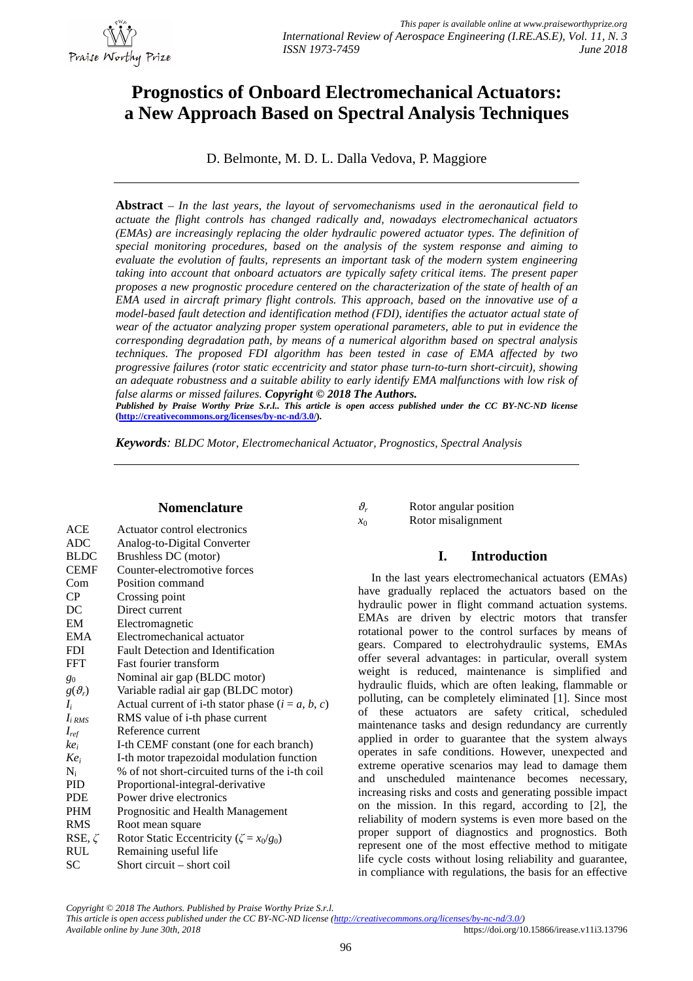

# **Prognostics of Onboard Electromechanical Actuators: a New Approach Based on Spectral Analysis Techniques**

D. Belmonte, M. D. L. Dalla Vedova, P. Maggiore

**Abstract** – *In the last years, the layout of servomechanisms used in the aeronautical field to actuate the flight controls has changed radically and, nowadays electromechanical actuators (EMAs) are increasingly replacing the older hydraulic powered actuator types. The definition of special monitoring procedures, based on the analysis of the system response and aiming to evaluate the evolution of faults, represents an important task of the modern system engineering taking into account that onboard actuators are typically safety critical items. The present paper proposes a new prognostic procedure centered on the characterization of the state of health of an EMA used in aircraft primary flight controls. This approach, based on the innovative use of a model-based fault detection and identification method (FDI), identifies the actuator actual state of wear of the actuator analyzing proper system operational parameters, able to put in evidence the corresponding degradation path, by means of a numerical algorithm based on spectral analysis techniques. The proposed FDI algorithm has been tested in case of EMA affected by two progressive failures (rotor static eccentricity and stator phase turn-to-turn short-circuit), showing an adequate robustness and a suitable ability to early identify EMA malfunctions with low risk of false alarms or missed failures. Copyright © 2018 The Authors. Published by Praise Worthy Prize S.r.l.. This article is open access published under the CC BY-NC-ND license*

**([http://creativecommons.org/licenses/by-nc-nd/3.0/\).](http://creativecommons.org/licenses/by-nc-nd/3.0/).)**

*Keywords: BLDC Motor, Electromechanical Actuator, Prognostics, Spectral Analysis*

## **Nomenclature**

| ACE           | Actuator control electronics                        |
|---------------|-----------------------------------------------------|
| ADC           | Analog-to-Digital Converter                         |
| <b>BLDC</b>   | Brushless DC (motor)                                |
| <b>CEMF</b>   | Counter-electromotive forces                        |
| Com           | Position command                                    |
| <b>CP</b>     | Crossing point                                      |
| DC            | Direct current                                      |
| EM            | Electromagnetic                                     |
| <b>EMA</b>    | Electromechanical actuator                          |
| <b>FDI</b>    | Fault Detection and Identification                  |
| <b>FFT</b>    | <b>Fast fourier transform</b>                       |
| $g_0$         | Nominal air gap (BLDC motor)                        |
| $g(\theta_r)$ | Variable radial air gap (BLDC motor)                |
| $I_i$         | Actual current of i-th stator phase $(i = a, b, c)$ |
| $I_{i RMS}$   | RMS value of i-th phase current                     |
| $I_{ref}$     | Reference current                                   |
| $ke_i$        | I-th CEMF constant (one for each branch)            |
| $Ke_i$        | I-th motor trapezoidal modulation function          |
| $N_i$         | % of not short-circuited turns of the i-th coil     |
| <b>PID</b>    | Proportional-integral-derivative                    |
| <b>PDE</b>    | Power drive electronics                             |
| <b>PHM</b>    | Prognositic and Health Management                   |
| <b>RMS</b>    | Root mean square                                    |
| RSE, $\zeta$  | Rotor Static Eccentricity ( $\zeta = x_0/g_0$ )     |
| RUL           | Remaining useful life                               |
| SС            | Short circuit – short coil                          |

| $\vartheta_r$ | Rotor angular position |
|---------------|------------------------|
| $x_0$         | Rotor misalignment     |

# **I. Introduction**

In the last years electromechanical actuators (EMAs) have gradually replaced the actuators based on the hydraulic power in flight command actuation systems. EMAs are driven by electric motors that transfer rotational power to the control surfaces by means of gears. Compared to electrohydraulic systems, EMAs offer several advantages: in particular, overall system weight is reduced, maintenance is simplified and hydraulic fluids, which are often leaking, flammable or polluting, can be completely eliminated [1]. Since most of these actuators are safety critical, scheduled maintenance tasks and design redundancy are currently applied in order to guarantee that the system always operates in safe conditions. However, unexpected and extreme operative scenarios may lead to damage them and unscheduled maintenance becomes necessary, increasing risks and costs and generating possible impact on the mission. In this regard, according to [2], the reliability of modern systems is even more based on the proper support of diagnostics and prognostics. Both represent one of the most effective method to mitigate life cycle costs without losing reliability and guarantee, in compliance with regulations, the basis for an effective

*Copyright © 2018 The Authors. Published by Praise Worthy Prize S.r.l.*

*This article is open access published under the CC BY-NC-ND license ([http://creativecommons.org/licenses/by-nc-nd/3.0/\)](http://creativecommons.org/licenses/by-nc-nd/3.0/)) Available online by June 30th, 2018* <https://doi.org/10.15866/irease.v11i3.13796>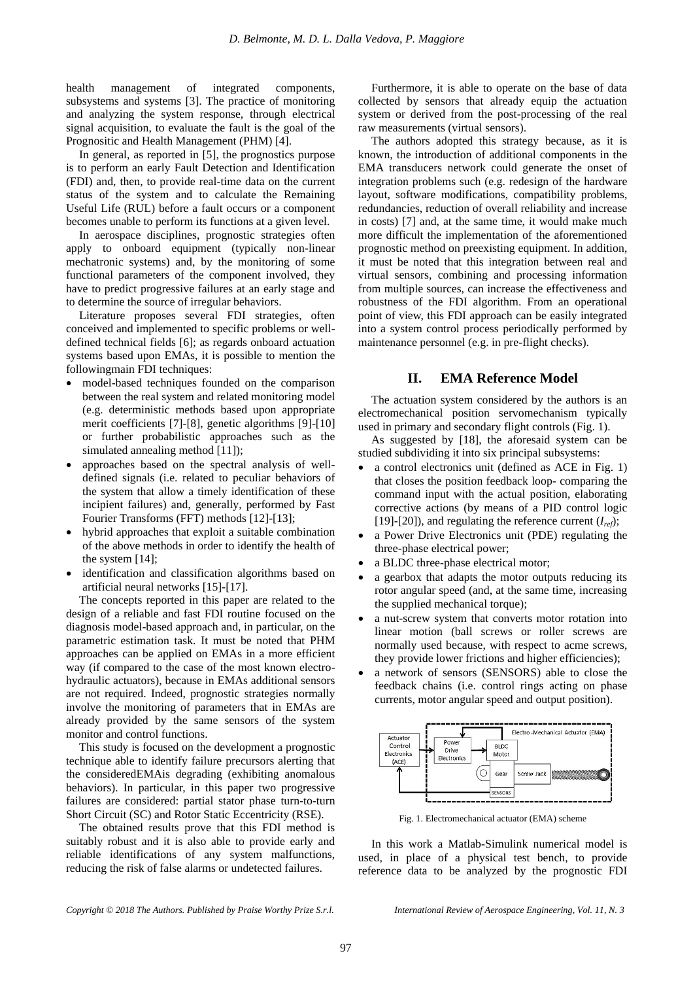health management of integrated components, subsystems and systems [3]. The practice of monitoring and analyzing the system response, through electrical signal acquisition, to evaluate the fault is the goal of the Prognositic and Health Management (PHM) [4].

In general, as reported in [5], the prognostics purpose is to perform an early Fault Detection and Identification (FDI) and, then, to provide real-time data on the current status of the system and to calculate the Remaining Useful Life (RUL) before a fault occurs or a component becomes unable to perform its functions at a given level.

In aerospace disciplines, prognostic strategies often apply to onboard equipment (typically non-linear mechatronic systems) and, by the monitoring of some functional parameters of the component involved, they have to predict progressive failures at an early stage and to determine the source of irregular behaviors.

Literature proposes several FDI strategies, often conceived and implemented to specific problems or welldefined technical fields [6]; as regards onboard actuation systems based upon EMAs, it is possible to mention the followingmain FDI techniques:

- model-based techniques founded on the comparison between the real system and related monitoring model (e.g. deterministic methods based upon appropriate merit coefficients [7]-[8], genetic algorithms [9]-[10] or further probabilistic approaches such as the simulated annealing method [11]);
- approaches based on the spectral analysis of welldefined signals (i.e. related to peculiar behaviors of the system that allow a timely identification of these incipient failures) and, generally, performed by Fast Fourier Transforms (FFT) methods [12]-[13];
- hybrid approaches that exploit a suitable combination of the above methods in order to identify the health of the system [14];
- identification and classification algorithms based on artificial neural networks [15]-[17].

The concepts reported in this paper are related to the design of a reliable and fast FDI routine focused on the diagnosis model-based approach and, in particular, on the parametric estimation task. It must be noted that PHM approaches can be applied on EMAs in a more efficient way (if compared to the case of the most known electrohydraulic actuators), because in EMAs additional sensors are not required. Indeed, prognostic strategies normally involve the monitoring of parameters that in EMAs are already provided by the same sensors of the system monitor and control functions.

This study is focused on the development a prognostic technique able to identify failure precursors alerting that the consideredEMAis degrading (exhibiting anomalous behaviors). In particular, in this paper two progressive failures are considered: partial stator phase turn-to-turn Short Circuit (SC) and Rotor Static Eccentricity (RSE).

The obtained results prove that this FDI method is suitably robust and it is also able to provide early and reliable identifications of any system malfunctions, reducing the risk of false alarms or undetected failures.

Furthermore, it is able to operate on the base of data collected by sensors that already equip the actuation system or derived from the post-processing of the real raw measurements (virtual sensors).

The authors adopted this strategy because, as it is known, the introduction of additional components in the EMA transducers network could generate the onset of integration problems such (e.g. redesign of the hardware layout, software modifications, compatibility problems, redundancies, reduction of overall reliability and increase in costs) [7] and, at the same time, it would make much more difficult the implementation of the aforementioned prognostic method on preexisting equipment. In addition, it must be noted that this integration between real and virtual sensors, combining and processing information from multiple sources, can increase the effectiveness and robustness of the FDI algorithm. From an operational point of view, this FDI approach can be easily integrated into a system control process periodically performed by maintenance personnel (e.g. in pre-flight checks).

# **II. EMA Reference Model**

The actuation system considered by the authors is an electromechanical position servomechanism typically used in primary and secondary flight controls (Fig. 1).

As suggested by [18], the aforesaid system can be studied subdividing it into six principal subsystems:

- a control electronics unit (defined as ACE in Fig. 1) that closes the position feedback loop- comparing the command input with the actual position, elaborating corrective actions (by means of a PID control logic [19]-[20]), and regulating the reference current  $(I_{ref})$ ;
- a Power Drive Electronics unit (PDE) regulating the three-phase electrical power;
- a BLDC three-phase electrical motor;
- a gearbox that adapts the motor outputs reducing its rotor angular speed (and, at the same time, increasing the supplied mechanical torque);
- a nut-screw system that converts motor rotation into linear motion (ball screws or roller screws are normally used because, with respect to acme screws, they provide lower frictions and higher efficiencies);
- a network of sensors (SENSORS) able to close the feedback chains (i.e. control rings acting on phase currents, motor angular speed and output position).



Fig. 1. Electromechanical actuator (EMA) scheme

In this work a Matlab-Simulink numerical model is used, in place of a physical test bench, to provide reference data to be analyzed by the prognostic FDI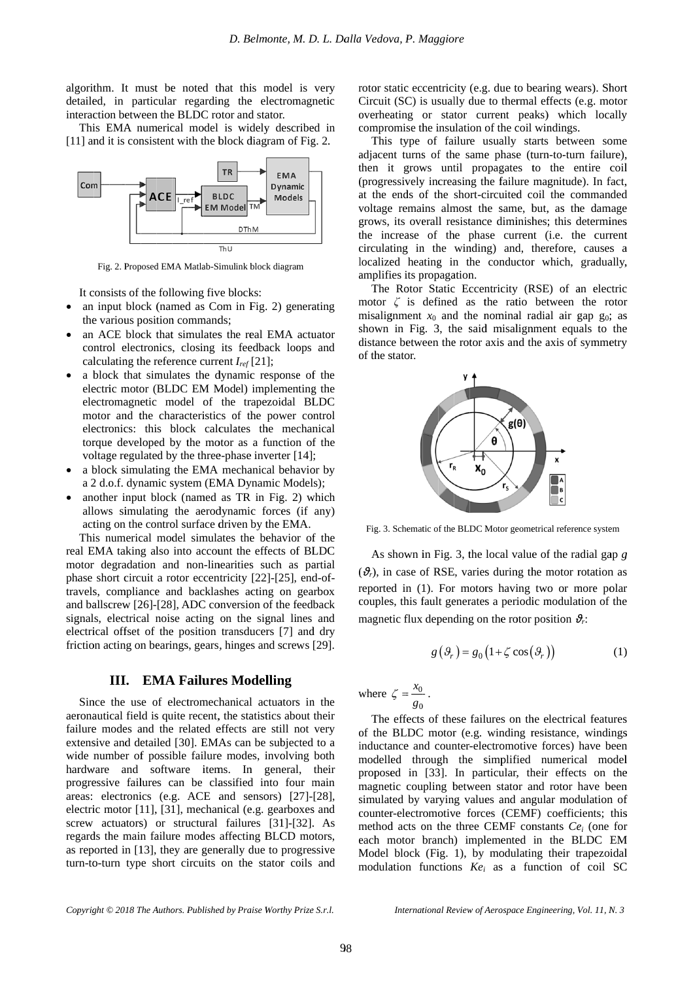algorithm. It must be noted that this model detailed, in particular regarding the electromagnetic interaction between the BLDC rotor and stator. detailed, in particular regarding the electromagnetic<br>interaction between the BLDC rotor and stator.<br>This EMA numerical model is widely described in<br>[11] and it is consistent with the block diagram of Fig. 2.

This EMA numerical model is widely described in



Fig. 2. Proposed EMA Matlab-Simulink block diagram

It consists of the following five blocks: five blocks:<br>Com in Fig

- $\bullet$ an input block (named as Com in Fig. 2) generating the various position commands; the various position commands
- $\bullet$ an ACE block that simulates the real EMA actuator control electronics, closing its feedback loops and calculating the reference current *Iref*
- $\bullet$ a block that simulates the dynamic response of the dynamic electric motor (BLDC EM Model) implementing the electromagnetic model of the trapezoidal BLDC motor and the characteristics of the power control electronics: this block calculates the mechanical torque developed by the mot voltage regulated by the three-phase inverter It consists of the following five blocks:<br>an input block (named as Com in Fig. 2) generating<br>the various position commands;<br>an ACE block that simulates the real EMA actuator<br>control electronics, closing its feedback loops the reference current  $I_{ref}$  [21];<br>t simulates the dynamic response of the<br>or (BLDC EM Model) implementing the<br>etic model of the trapezoidal BLDC<br>the characteristics of the power control<br>this block calculates the mechanic 1 input block (named as Com in Fig. 2) generating<br>
e various position commands;<br>
1 ACE block that simulates the real EMA actuator<br>
ntrol electronics, closing its feedback loops and<br>
lculating the reference current  $I_{ref}$  electronics, closing its feedback loops and<br>ng the reference current  $I_{ref}[21]$ ;<br>that simulates the dynamic response of the<br>notor (BLDC EM Model) implementing the<br>agnetic model of the trapezoidal BLDC<br>of the characteristic a block that simulates the dynamic response of the electric motor (BLDC EM Model) implementing the electromagnetic model of the trapezoidal BLDC motor and the characteristics of the power control electronics: this block ca an ACE block that simulates the real EMA actuator<br>control electronics, closing its feedback loops and<br>calculating the reference current  $I_{ref}[21]$ ;<br>a block that simulates the dynamic response of the<br>electric motor (BLDC EM as a function of<br>ase inverter [14]; simulates the dynamic response of the rapid in prediction of the trapezoidal BLD in the characteristics of the power contrelisting block calculates the mechanic oped by the motor as a function of the divided by the three-p block that simulates the real EMA actuator<br>lectronics, closing its feedback loops and<br>ng the reference current  $I_{ref}[21]$ ;<br>that simulates the dynamic response of the<br>notor (BLDC EM Model) implementing the<br>agnetic model of
- $\bullet$ a block simulating the EMA mechanical behavior by a block simulating the EMA mechanical behavior<br>a 2 d.o.f. dynamic system (EMA Dynamic Models) a block simulating the EMA mechanical behavior by<br>a 2 d.o.f. dynamic system (EMA Dynamic Models);<br>another input block (named as TR in Fig. 2) which
- $\bullet$ allows simulating the aerodynamic forces (if any) acting on the control surface driven by the EMA. electronics: this block calculates the mechanical torque developed by the motor as a function of the voltage regulated by the three-phase inverter [14]; a block simulating the EMA mechanical behavior by a 2 d.o.f. dynamic lock simulating the EMA mechanical behavior by d.o.f. dynamic system (EMA Dynamic Models); other input block (named as TR in Fig. 2) which bows simulating the aerodynamic forces (if any) ing on the control surface driven b

real EMA taking also into account the effects of BLDC This numerical model simulates the<br>real EMA taking also into account the  $\epsilon$ <br>motor degradation and non-linearities motor degradation and non-linearities such a<br>phase short circuit a rotor eccentricity [22]-[25 travels, compliance and backlashes acting on gearbox and ballscrew [2 sig signals, electrical noise acting on the signal lines and electrical offset of the position transducers [ friction acting on bearings, gears, hinges and screws [29]. This numerical model simulates the This numerical model simulates the behavior of the<br>real EMA taking also into account the effects of BLDC<br>motor degradation and non-linearities such as partial<br>phase short circuit a rotor eccentricity [22]-[25], end-of-<br>tra allows simulating the aerodynamic forces (if any)<br>acting on the control surface driven by the EMA.<br>This numerical model simulates the behavior of the<br>EMA taking also into account the effects of BLDC<br>tor degradation and non ntrol surface driven by the EMA.<br>model simulates the behavior of the<br>lso into account the effects of BLDC EMA numerical model is widely described in<br>
it is consistent with the block diagram of Fig. 2.<br>
FREE TRIM MORE TO UNIMBEL TRIM TO UNIMBEL TRIM TO UNIMBEL TRIM TO UNIMBEL TRIM MORE TRIM MORE TO UNIMBEL TRIM THE SURVEY TRIM *D. Belinonte, M.*<br>
It must be noted that this model is<br>
in particular regarding the electroma<br>
between the BLDC rotor and stator.<br>
MA numerical model is widely descritic consistent with the block diagram of F<br> **EMA**<br> **EMA** • another input block (named as TR in Fig. 2) which allows simulating the aerodynamic forces (if any) acting on the control surface driven by the EMA. This numerical model simulates the behavior of the real EMA taking als acting on the control surface driven by the I<br>This numerical model simulates the behave<br>1 EMA taking also into account the effects<br>tor degradation and non-linearities such<br>ase short circuit a rotor eccentricity [22]-[2<br>vel behavior *D. Belmonte, M.*<br>
algorithm. It must be noted that this model is<br>
detailed, in particular regarding the electroma<br>
interaction between the BLDC rotor and stator.<br>
This EMA numerical model is widely descrited<br>
[11] and it in Fig. 2) wh<br>forces (if a<br>behavior of<br>behavior of<br>effects of BL<br>such as par<br>22]-[25], end and backlashes acting on gearbox<br>8], ADC conversion of the feedback<br>ise acting on the signal lines and<br>ne position transducers [7] and dry of the phase short circuit a rotor eccentricity [22]-[25], end-<br>travels, compliance and backlashes acting on gearb<br>and ballscrew [26]-[28], ADC conversion of the feedba<br>signals, electrical noise acting on the signal lines a<br>elect ) whicl<br>(if any<br>IA.<br>r of the<br>F BLDC<br>partia<br>end-of signal lines and<br>cers [7] and dry<br>and screws [29]. D. Bethnome, M. D. L. Dalla Vedova, P. Maggiore<br>
be noted that this model is very<br>
lengthe allence coentricity (SC) is usually<br>
the BLDC rotor and state.<br>
Final regarding the electromagnetic Crecuit (SC) is usually<br>
free

#### **III. EMA Failures Failures Model Modelling ling**

Since the use of electromechanical actuators in the aeronautical field is quite recent, the statistics about their failure modes and the related effects are still not very extensive and detailed [30 wide number of possible failure modes, involving both hardware and software items. In general, their progressive failures can be classified into four main areas: electronics (e.g. ACE and sensors) [27]-[28], electric motor [11], [31], mechanical (e.g. gearboxes and screw actuators) or structural failures [31]-[32]. As reg areas areas: electronics (e.g. ACE and sensors) [27 electric motor [11], [31], mechanical (e.g. gearboxes and screw actuators) or structural failures [31]-[32]. As regards the main failure modes affecting BLCD motors, as reported in [13], they are generally due to progressive screw actuators) or structural failures [31]-[32]. As<br>regards the main failure modes affecting BLCD motors,<br>as reported in [13], they are generally due to progressive<br>turn-to-turn type short circuits on the stator coils an Since the use of electromechanical actuators in the algorithm. It must be noted that this model is very<br>letailed, in particular regarding the electromagnetic detailed, in particular regarding the electromagnetic This EMA numerical model is widely described in [11] and it i failure modes and the related effects are still not very<br>extensive and detailed [30]. EMAs can be subjected to a<br>wide number of possible failure modes, involving both<br>hardware and software items. In general, their<br>progress algorithm. It must be noted that this model is very<br>interaction between the DLO rotor and state.<br>
This EMA numerical model is widely described in [11] and it is consistent with the block diagram of Fig. 2.<br> **Published by P** the use of electromechanical actuators in the cal field is quite recent, the statistics about their nodes and the related effects are still not very and detailed [30]. EMAs can be subjected to a mber of possible failure mo It is consistent with the block diagram of Fig.<br>
TR<br> **ACE**<br> **EXECUTE:** BLOC<br> **EXECUTE:** BLOC<br> **EXECUTE:** BLOC<br> **EXECUTE:** BLOC<br> **EXECUTE:** CONS CAME TO THE CONS CONSISTS OF the COLOR that simulates the real PMA Markus Dis algorithm. It must be noted that this model is very<br>interaction between the DLO rotor and state. This EMA numerical model is widely described in<br>This EMA numerical model is widely described in [11] and it is consistent wit on acting on bearings, gears, hinges and screw<br> **III. EMA Failures Modelling**<br>
nce the use of electromechanical actuators<br>
nautical field is quite recent, the statistics above<br>
re modes and the related effects are still the various position commands;<br>
an ACE block that simulates the real EMA a<br>
control electronics, closing its freedback loop<br>
calculating the reference current  $I_{ref}[21]$ ;<br>
a block that simulates the dynamic response<br>
elect Here BLDC rotor and stator.<br>
the BLDC rotor and stator.<br>
Tra ELC rotor and stator.<br>
Tra Transmenton and stator of Fig. 2.<br>
Tra Euro Book diagram of Fig. 2.<br>
Tra Euro Book diagram of Fig. 2.<br>
Tra Euro Book diagram controls algorithm. It must be noted that this model is very<br>interaction between the BLDC rotor and stator. This EMA numerical model is widely described in<br>[11] and it is consistent with the block diagram of Fig. 2.<br> **Fig. 2.** Prop Since the use of electromechanical actuators in the aeronautical field is quite recent, the statistics about their failure modes and detailed [30]. EMAs can be subjected to a wide number of possible failure modes, involvin D. Belmonte, M. D. L. I<br>
in particular regarding the electromagnetic ion between the BLDC rotor and stator.<br>
FIMA mumerical model is widely described in<br>
it is consistent with the block diagram of Fig. 2.<br>
It is consistent It must be noted that miss help is with model is with model in the model that model in particular regarding the electromagned is consistent with the BLDC rotor and stator.<br>
IS consistent with the block diagram of Fig. The **many block (named as Com in Fig. 2) generatin<br>
<b>the various position commands:**<br> **Control electronics, closing insteadluse for an ACE block that simulates the real EMA actuated control electronics, closing instead<br>
calcul** algorithm. It must be noted that this model is very<br>clearing algorithm. It must be content algorithm certain performance the material method. This EMA numerical model is widely described in [11] and it is consistent with t algorithm. It must be noted that this model is very<br>interaction of the model in the model in the model in the model in the model in this model in Tis EMA numerical model is widely described in [11] and it is consistent wit Since the use of electromechanical actuators in the aeronautical field is quite recent, the statistics about their failure modes and the related effects are still not very extensive and detailed [30]. EMAs can be subjected *Belmonte, M. D. L. Dalla Vedova, P. Maggiore*<br>
this model is very<br>
the clectromagnetic<br>
the electromagnetic<br>
the electromagnetic<br>
constrained in componing the insular or state<br>
which discuss and properties the main of th

rotor static eccentricity (e.g. due to bearing wears). Short<br>Circuit (SC) is usually due to thermal effects (e.g. motor overheating or stator current peaks) which locally compromise the insulation of the coil windings. rotor static eccentricity (e.g. due to bearing wears). Short

adjacent turns of the same phase (turn adjacent turns of the same phase (turn adjacent turns of the same phase (turn-to-turn failure), then it grows until propagates to the entire coil (progressively increasing the failure magnitude). In fact, at the ends of the short short-circuited coil the commanded voltage remains almost the same, but, as the damage grows, its overall resistance diminishes; this determines then it grows until propagates to the entire coil<br>(progressively increasing the failure magnitude). In fact,<br>at the ends of the short-circuited coil the commanded<br>voltage remains almost the same, but, as the damage<br>grows, circulating in the winding) and, therefore, causes a localized heating in the conductor which, gradually, amplifies its propagation. overheating or stator current peaks) which locally compromise the insulation of the coil windings. This type of failure usually starts between some adjacent turns of the same phase (turn-to-turn failure), circulating in the winding) and, therefore, causes a localized heating in the conductor which, gradually, amplifies its propagation. Circuit (SC) is usually due to thermal effects (e.g. s<br>overheating or stator current peaks) which level<br>compromise the insulation of the coil windings.<br>This type of failure usually starts between<br>then it grows until propa overheating or stator current peaks) which 1<br>compromise the insulation of the coil windings.<br>This type of failure usually starts between<br>adjacent turns of the same phase (turn-to-turn fa<br>then it grows until propagates to compromise the insulation of the coil windings.<br>This type of failure usually starts between some<br>adjacent turns of the same phase (turn-to-turn failure),<br>then it grows until propagates to the entire coil<br>(progressively inc rotor static eccentricity (e.g. due to bearing wears). S<br>Circuit (SC) is usually due to thermal effects (e.g. n<br>overheating or stator current peaks) which lo<br>compromise the insulation of the coil windings.<br>This type of fa ic eccentricity (e.g. due to bearing wears). Short<br>iC) is usually due to thermal effects (e.g. motor<br>ng or stator current peaks) which locally<br>ise the insulation of the coil windings.<br>ype of failure usually starts between due to bearing wears). Short<br>o thermal effects (e.g. motors<br>o thermal effects (e.g. motors<br>rent peaks) which locally<br>then the coil windings.<br>ually starts between some<br>phase (turn-to-turn failure). In fact,<br>valued coil the then it grows until propagates to the (progressively increasing the failure magnet at the ends of the short-circuited coil till voltage remains almost the same, but, agrows, its overall resistance diminishes; the increase lly due to thermal effects (e.g. motor<br>tor current peaks) which locally<br>lation of the coil windings.<br>ilure usually starts between some<br>e same phase (turn-to-turn failure),<br>til propagates to the entire coil<br>asing the failur forcer static eccentricity (e.g. due to bearing wears). Short<br>Circuit (SC) is usually due to thermal effects (e.g. motor<br>coverheating or stator current peaks) which locally<br>compromise the insulation of the coil windings.<br>

motor  $\zeta$  is defined as the ratio between the motor  $\zeta$  is defined as the ratio between the rotor misalignment  $x_0$  and the nominal radial air gap  $g_0$ ; as shown in Fig. 3, the said misalignment equals to the distance between the rotor axis and the axis of symmetry of the stator. distance between the rotor axis and the axis of symmetry of the stator. The Rotor Static Eccentricity (RSE) of an electric stor Static Eccentricity (RSE) of an electric is defined as the ratio between the rotor ent  $x_0$  and the nominal radial air gap  $g_0$ ; as its overall resistance<br>rease of the pha<br>ing in the windin<br>d heating in the<br>ss its propagation.<br>Rotor Static Ecce<br> $\zeta$  is defined as  $\zeta$ <br>nment  $x_0$  and the  $\zeta$ <br>in Fig. 3, the said



Fig. 3. Schematic of the BLDC Motor geometrical reference system

 $(\mathcal{F}_r)$ , in case of RSE, varies during the motor rotation as reported in (1). For motors having two or more polar couples, this fault generates a periodic modulation of the magnetic flux depending on the rotor position  $\partial_r$ : As shown in Fig. 3, the local value of the radial gap  $\lambda$ ), in case of RSE, varies during the motor rotation a sorted in (1). For motors having two or more polaples, this fault generates a periodic modulation of the reported in (1). For motors having two or more polar couples, this fault generates a periodic modulation of the magnetic flux depending on the rotor position  $\mathcal{P}_r$ : this of RSE, varies during the motor rotation as<br>
(1). For motors having two or more polar<br>
fault generates a periodic modulation of the<br>  $\alpha$  depending on the rotor position  $\vartheta_r$ :<br>  $g(\vartheta_r) = g_0(1 + \zeta \cos(\vartheta_r))$  (1) As shown in Fig. 3, the  $(\mathcal{S}_r)$ , in case of RSE, varies<br>reported in (1). For motors<br>couples, this fault generates

$$
g(\theta_r) = g_0(1 + \zeta \cos(\theta_r))
$$
 (1)

where  $\zeta = \frac{x_0}{x_0}$ 0  $\frac{x_0}{g_0}$ .

rotor static eccentricity (<br>Circuit (SC) is usually d<br>Circuit (SC) is usually d<br>overheating or stator<br>This type of failure<br>adjacent turns of the same<br>dianed turns of the static denot if progressively increasing<br>at the nit of the BLDC motor (e.g. winding resistance, windings of the BLDC motor (e.g. winding resistance, windings inductance and counter-electromotive forces) have been modelled modelled through the simplified numerical model<br>proposed in [33]. In particular, their effects on the magnetic coupling between stator and rotor have been simulated by varying values and angular modulation of counter counter-electromotive forces ( method acts on the three each motor branch) implemented in the BLDC EM each motor branch) implemented in the BLDC EM<br>Model block (Fig. 1), by modulating their trapezoidal each motor branch) implemented in the BLDC EM<br>Model block (Fig. 1), by modulating their trapezoidal<br>modulation functions  $Ke_i$  as a function of coil SC The effects of these failures on the electrical features of the BLDC motor (e.g. winding resistance, windings inductance and counter-electromotive forces) have been modelled through the simplified numerical model proposed in [33]. In particular, their effects on the magnetic cou counter-electromotive formethod acts on the three each motor branch) imp e effects of these failures on the electrical feature BLDC motor (e.g. winding resistance, windin ance and counter-electromotive forces) have be led through the simplified numerical model in [33]. In particular, their eff static eccentricity<br>it (SC) is usually<br>eating or staton<br>romise the insular<br>is type of failu<br>ent turns of the<br>it grows until<br>it ersively increasi<br>ends of the sh-<br>is, its overall resist<br>acked the sh-<br>is and so the stating i through the simplified numerical model pling between stator and rotor have been<br>varying values and angular modulation of<br>omotive forces (CEMF) coefficients; this<br>on the three CEMF constants  $Ce_i$  (one for<br>branch) implemented in the BLDC EM the ends of the short-circuited coi<br>the ends of the share. by<br>two, its overall resistance diminishes same, but<br>increase of the phase current<br>ulating in the winding) and, the line conductor<br>plifies its propagation.<br>The Rot CEMF constants  $Ce<sub>i</sub>$  (one for The effects of these failures on the electrical features<br>of the BLDC motor (e.g. winding resistance, windings<br>inductance and counter-electromotive forces) have been<br>modelled through the simplified numerical model<br>proposed This type of failure usually starts between starting the comparison of the same phase (to the control<br>term in a grows until propagates to the entire (progressively increasing the failure magnitude). In<br>the entire of the s adjacent turns of the same phase (turn-to-turn failure), different modulation in the modulation of the smooth control (progressively increasing the failure magnitude). In fact, at the ends of the short-circuited coil the bearing wears). Short<br>nal effects (e.g. motor<br>nal effects (e.g. motor<br>nal effects (e.g. motor<br>id windings.<br>starts between some (turn-to-turn failure), to the entire coil<br>reading to the commanded<br>of the commanded<br>ishes; th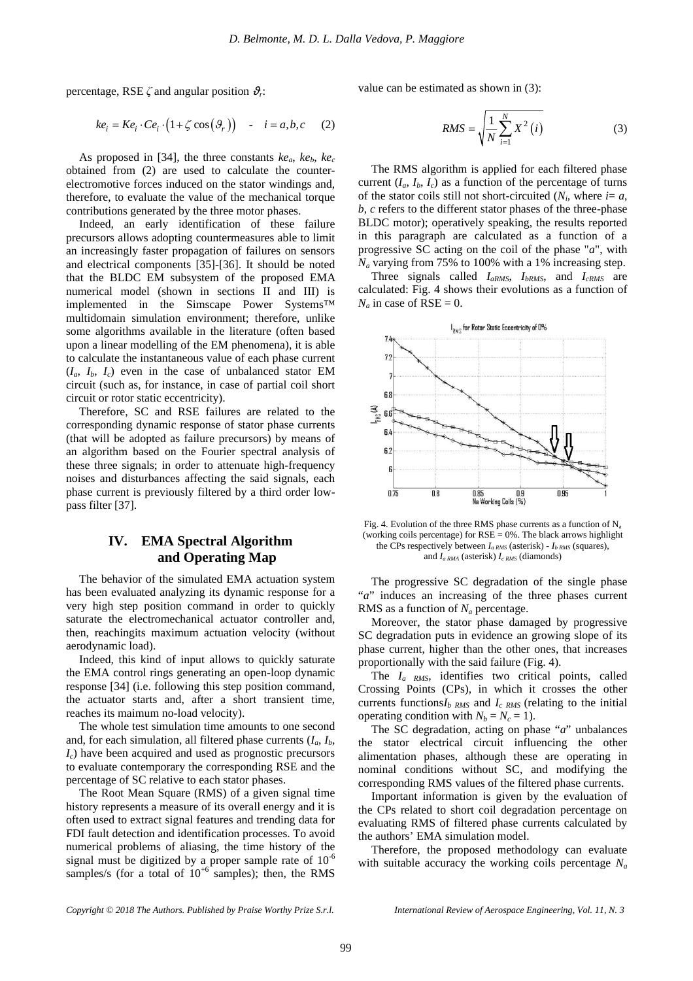percentage, RSE *ζ* and angular position *ϑ<sup>r</sup>* :

$$
ke_i = Ke_i \cdot Ce_i \cdot (1 + \zeta \cos(\theta_r)) - i = a, b, c \quad (2)
$$

As proposed in [34], the three constants  $ke_a$ ,  $ke_b$ ,  $ke_c$ obtained from (2) are used to calculate the counterelectromotive forces induced on the stator windings and, therefore, to evaluate the value of the mechanical torque contributions generated by the three motor phases.

Indeed, an early identification of these failure precursors allows adopting countermeasures able to limit an increasingly faster propagation of failures on sensors and electrical components [35]-[36]. It should be noted that the BLDC EM subsystem of the proposed EMA numerical model (shown in sections II and III) is implemented in the Simscape Power Systems™ multidomain simulation environment; therefore, unlike some algorithms available in the literature (often based upon a linear modelling of the EM phenomena), it is able to calculate the instantaneous value of each phase current  $(I_a, I_b, I_c)$  even in the case of unbalanced stator EM circuit (such as, for instance, in case of partial coil short circuit or rotor static eccentricity).

Therefore, SC and RSE failures are related to the corresponding dynamic response of stator phase currents (that will be adopted as failure precursors) by means of an algorithm based on the Fourier spectral analysis of these three signals; in order to attenuate high-frequency noises and disturbances affecting the said signals, each phase current is previously filtered by a third order lowpass filter [37].

# **IV. EMA Spectral Algorithm and Operating Map**

The behavior of the simulated EMA actuation system has been evaluated analyzing its dynamic response for a very high step position command in order to quickly saturate the electromechanical actuator controller and, then, reachingits maximum actuation velocity (without aerodynamic load).

Indeed, this kind of input allows to quickly saturate the EMA control rings generating an open-loop dynamic response [34] (i.e. following this step position command, the actuator starts and, after a short transient time, reaches its maimum no-load velocity).

The whole test simulation time amounts to one second and, for each simulation, all filtered phase currents  $(I_a, I_b,$ *Ic*) have been acquired and used as prognostic precursors to evaluate contemporary the corresponding RSE and the percentage of SC relative to each stator phases.

The Root Mean Square (RMS) of a given signal time history represents a measure of its overall energy and it is often used to extract signal features and trending data for FDI fault detection and identification processes. To avoid numerical problems of aliasing, the time history of the signal must be digitized by a proper sample rate of  $10^{-6}$ samples/s (for a total of  $10^{+6}$  samples); then, the RMS

value can be estimated as shown in (3):

$$
RMS = \sqrt{\frac{1}{N} \sum_{i=1}^{N} X^{2}(i)}
$$
 (3)

The RMS algorithm is applied for each filtered phase current  $(I_a, I_b, I_c)$  as a function of the percentage of turns of the stator coils still not short-circuited  $(N_i)$ , where  $i = a$ , *b*, *c* refers to the different stator phases of the three-phase BLDC motor); operatively speaking, the results reported in this paragraph are calculated as a function of a progressive SC acting on the coil of the phase "*a*", with  $N_a$  varying from 75% to 100% with a 1% increasing step.

Three signals called *IaRMS*, *IbRMS*, and *IcRMS* are calculated: Fig. 4 shows their evolutions as a function of  $N_a$  in case of RSE = 0.



Fig. 4. Evolution of the three RMS phase currents as a function of  $N_a$ (working coils percentage) for  $RSE = 0$ %. The black arrows highlight the CPs respectively between  $I_{a RMS}$  (asterisk) -  $I_{b RMS}$  (squares), and  $I_{a, RMA}$  (asterisk)  $I_{c, RMS}$  (diamonds)

The progressive SC degradation of the single phase "*a*" induces an increasing of the three phases current RMS as a function of *N<sup>a</sup>* percentage.

Moreover, the stator phase damaged by progressive SC degradation puts in evidence an growing slope of its phase current, higher than the other ones, that increases proportionally with the said failure (Fig. 4).

The *Ia RMS*, identifies two critical points, called Crossing Points (CPs), in which it crosses the other currents functions*Ib RMS* and *Ic RMS* (relating to the initial operating condition with  $N_b = N_c = 1$ ).

The SC degradation, acting on phase "*a*" unbalances the stator electrical circuit influencing the other alimentation phases, although these are operating in nominal conditions without SC, and modifying the corresponding RMS values of the filtered phase currents.

Important information is given by the evaluation of the CPs related to short coil degradation percentage on evaluating RMS of filtered phase currents calculated by the authors' EMA simulation model.

Therefore, the proposed methodology can evaluate with suitable accuracy the working coils percentage *Na*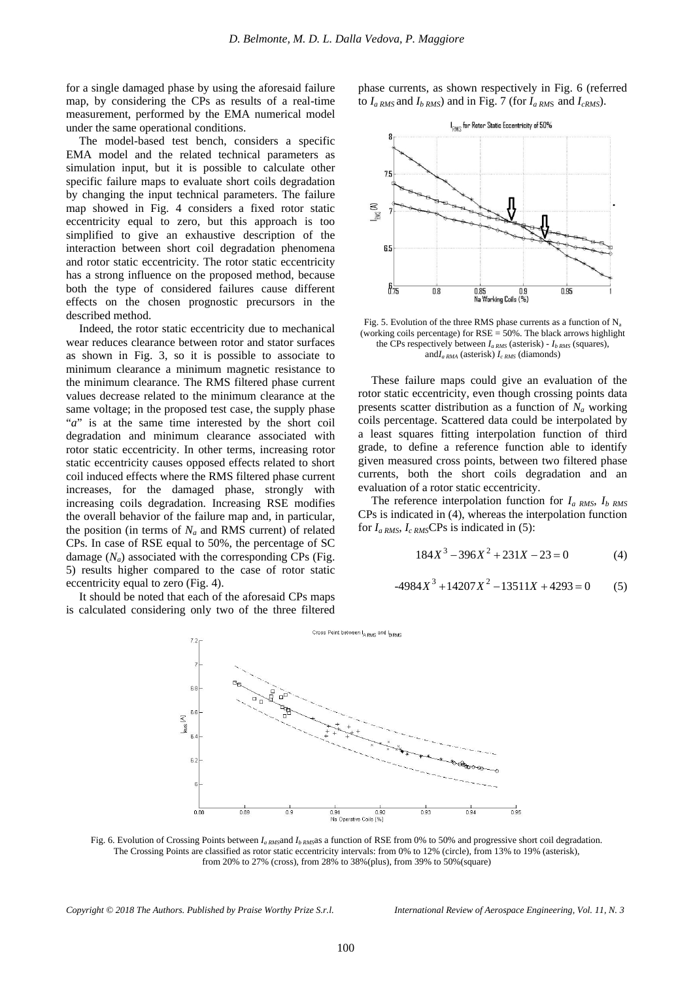for a single damaged phase by using the aforesaid failure map, by considering the CPs as results of a real-time measurement, performed by the EMA numerical model under the same operational conditions.

The model-based test bench, considers a specific EMA model and the related technical parameters as simulation input, but it is possible to calculate other specific failure maps to evaluate short coils degradation by changing the input technical parameters. The failure map showed in Fig. 4 considers a fixed rotor static eccentricity equal to zero, but this approach is too simplified to give an exhaustive description of the interaction between short coil degradation phenomena and rotor static eccentricity. The rotor static eccentricity has a strong influence on the proposed method, because both the type of considered failures cause different effects on the chosen prognostic precursors in the described method.

Indeed, the rotor static eccentricity due to mechanical wear reduces clearance between rotor and stator surfaces as shown in Fig. 3, so it is possible to associate to minimum clearance a minimum magnetic resistance to the minimum clearance. The RMS filtered phase current values decrease related to the minimum clearance at the same voltage; in the proposed test case, the supply phase "*a*" is at the same time interested by the short coil degradation and minimum clearance associated with rotor static eccentricity. In other terms, increasing rotor static eccentricity causes opposed effects related to short coil induced effects where the RMS filtered phase current increases, for the damaged phase, strongly with increasing coils degradation. Increasing RSE modifies the overall behavior of the failure map and, in particular, the position (in terms of  $N_a$  and RMS current) of related CPs. In case of RSE equal to 50%, the percentage of SC damage  $(N_a)$  associated with the corresponding CPs (Fig. 5) results higher compared to the case of rotor static eccentricity equal to zero (Fig. 4).

It should be noted that each of the aforesaid CPs maps is calculated considering only two of the three filtered phase currents, as shown respectively in Fig. 6 (referred to  $I_{a RMS}$  and  $I_{b RMS}$ ) and in Fig. 7 (for  $I_{a RMS}$  and  $I_{c RMS}$ ).



Fig. 5. Evolution of the three RMS phase currents as a function of  $N_a$ (working coils percentage) for  $RSE = 50\%$ . The black arrows highlight the CPs respectively between *Ia RMS* (asterisk) - *Ib RMS* (squares), and*Ia RMA* (asterisk) *Ic RMS* (diamonds)

These failure maps could give an evaluation of the rotor static eccentricity, even though crossing points data presents scatter distribution as a function of  $N_a$  working coils percentage. Scattered data could be interpolated by a least squares fitting interpolation function of third grade, to define a reference function able to identify given measured cross points, between two filtered phase currents, both the short coils degradation and an evaluation of a rotor static eccentricity.

The reference interpolation function for *Ia RMS*, *Ib RMS* CPs is indicated in (4), whereas the interpolation function for  $I_{a RMS}$ ,  $I_{c RMS}$ CPs is indicated in (5):

$$
184X^3 - 396X^2 + 231X - 23 = 0 \tag{4}
$$

$$
-4984X^3 + 14207X^2 - 13511X + 4293 = 0
$$
 (5)



Fig. 6. Evolution of Crossing Points between *I<sub>a RMS</sub>*and *I<sub>b RMS</sub>*as a function of RSE from 0% to 50% and progressive short coil degradation. The Crossing Points are classified as rotor static eccentricity intervals: from 0% to 12% (circle), from 13% to 19% (asterisk), from 20% to 27% (cross), from 28% to 38%(plus), from 39% to 50%(square)

*Copyright © 2018 The Authors. Published by Praise Worthy Prize S.r.l. International Review of Aerospace Engineering, Vol. 11, N. 3*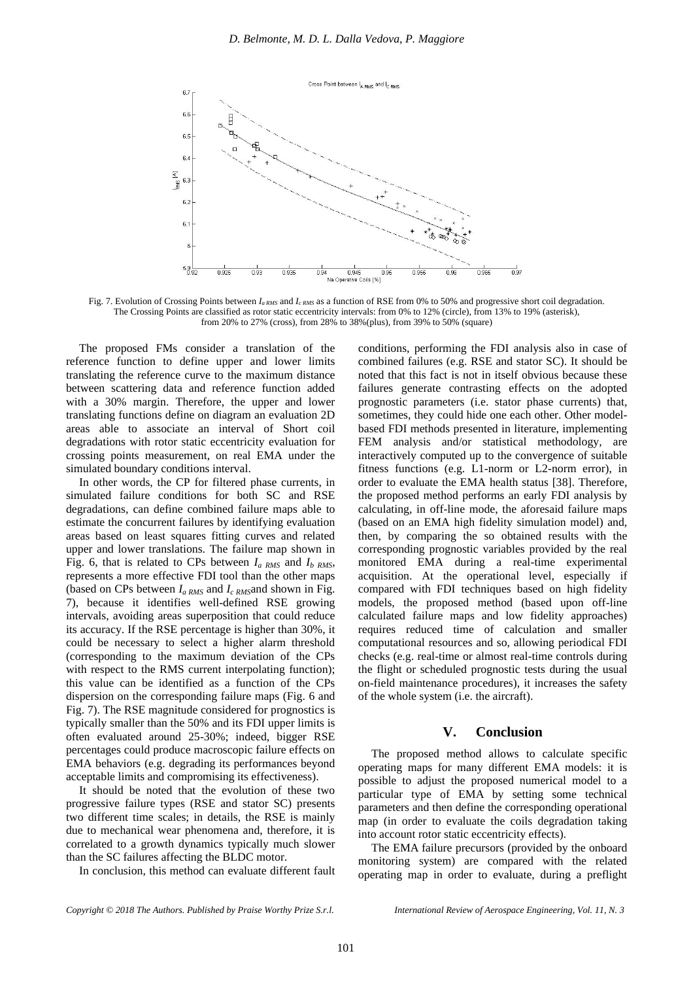

Fig. 7. Evolution of Crossing Points between  $I_{a RMS}$  and  $I_{c RMS}$  as a function of RSE from 0% to 50% and progressive short coil degradation. The Crossing Points are classified as rotor static eccentricity intervals: from 0% to 12% (circle), from 13% to 19% (asterisk), from 20% to 27% (cross), from 28% to 38%(plus), from 39% to 50% (square)

The proposed FMs consider a translation of the reference function to define upper and lower limits translating the reference curve to the maximum distance between scattering data and reference function added with a 30% margin. Therefore, the upper and lower translating functions define on diagram an evaluation 2D areas able to associate an interval of Short coil degradations with rotor static eccentricity evaluation for crossing points measurement, on real EMA under the simulated boundary conditions interval.

In other words, the CP for filtered phase currents, in simulated failure conditions for both SC and RSE degradations, can define combined failure maps able to estimate the concurrent failures by identifying evaluation areas based on least squares fitting curves and related upper and lower translations. The failure map shown in Fig. 6, that is related to CPs between *Ia RMS* and *Ib RMS*, represents a more effective FDI tool than the other maps (based on CPs between *Ia RMS* and *Ic RMS*and shown in Fig. 7), because it identifies well-defined RSE growing intervals, avoiding areas superposition that could reduce its accuracy. If the RSE percentage is higher than 30%, it could be necessary to select a higher alarm threshold (corresponding to the maximum deviation of the CPs with respect to the RMS current interpolating function); this value can be identified as a function of the CPs dispersion on the corresponding failure maps (Fig. 6 and Fig. 7). The RSE magnitude considered for prognostics is typically smaller than the 50% and its FDI upper limits is often evaluated around 25-30%; indeed, bigger RSE percentages could produce macroscopic failure effects on EMA behaviors (e.g. degrading its performances beyond acceptable limits and compromising its effectiveness).

It should be noted that the evolution of these two progressive failure types (RSE and stator SC) presents two different time scales; in details, the RSE is mainly due to mechanical wear phenomena and, therefore, it is correlated to a growth dynamics typically much slower than the SC failures affecting the BLDC motor.

In conclusion, this method can evaluate different fault

conditions, performing the FDI analysis also in case of combined failures (e.g. RSE and stator SC). It should be noted that this fact is not in itself obvious because these failures generate contrasting effects on the adopted prognostic parameters (i.e. stator phase currents) that, sometimes, they could hide one each other. Other modelbased FDI methods presented in literature, implementing FEM analysis and/or statistical methodology, are interactively computed up to the convergence of suitable fitness functions (e.g. L1-norm or L2-norm error), in order to evaluate the EMA health status [38]. Therefore, the proposed method performs an early FDI analysis by calculating, in off-line mode, the aforesaid failure maps (based on an EMA high fidelity simulation model) and, then, by comparing the so obtained results with the corresponding prognostic variables provided by the real monitored EMA during a real-time experimental acquisition. At the operational level, especially if compared with FDI techniques based on high fidelity models, the proposed method (based upon off-line calculated failure maps and low fidelity approaches) requires reduced time of calculation and smaller computational resources and so, allowing periodical FDI checks (e.g. real-time or almost real-time controls during the flight or scheduled prognostic tests during the usual on-field maintenance procedures), it increases the safety of the whole system (i.e. the aircraft).

## **V. Conclusion**

The proposed method allows to calculate specific operating maps for many different EMA models: it is possible to adjust the proposed numerical model to a particular type of EMA by setting some technical parameters and then define the corresponding operational map (in order to evaluate the coils degradation taking into account rotor static eccentricity effects).

The EMA failure precursors (provided by the onboard monitoring system) are compared with the related operating map in order to evaluate, during a preflight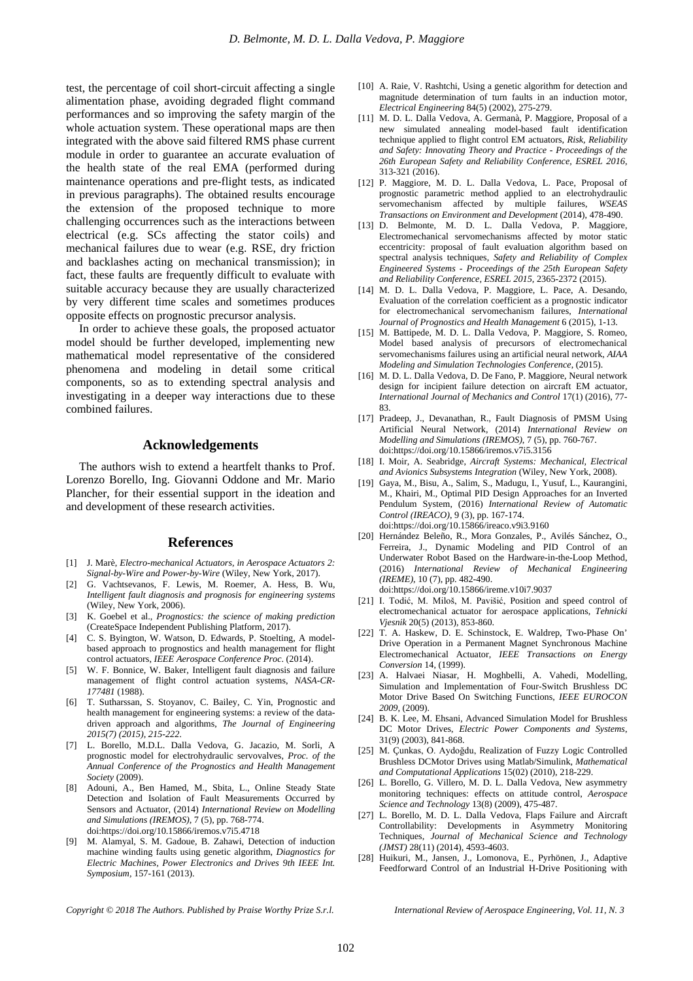test, the percentage of coil short-circuit affecting a single alimentation phase, avoiding degraded flight command performances and so improving the safety margin of the whole actuation system. These operational maps are then integrated with the above said filtered RMS phase current module in order to guarantee an accurate evaluation of the health state of the real EMA (performed during maintenance operations and pre-flight tests, as indicated in previous paragraphs). The obtained results encourage the extension of the proposed technique to more challenging occurrences such as the interactions between electrical (e.g. SCs affecting the stator coils) and mechanical failures due to wear (e.g. RSE, dry friction and backlashes acting on mechanical transmission); in fact, these faults are frequently difficult to evaluate with suitable accuracy because they are usually characterized by very different time scales and sometimes produces opposite effects on prognostic precursor analysis.

In order to achieve these goals, the proposed actuator model should be further developed, implementing new mathematical model representative of the considered phenomena and modeling in detail some critical components, so as to extending spectral analysis and investigating in a deeper way interactions due to these combined failures.

### **Acknowledgements**

The authors wish to extend a heartfelt thanks to Prof. Lorenzo Borello, Ing. Giovanni Oddone and Mr. Mario Plancher, for their essential support in the ideation and and development of these research activities.

#### **References**

- [1] J. Marè, *Electro-mechanical Actuators, in Aerospace Actuators 2: Signal-by-Wire and Power-by-Wire* (Wiley, New York, 2017).
- [2] G. Vachtsevanos, F. Lewis, M. Roemer, A. Hess, B. Wu, *Intelligent fault diagnosis and prognosis for engineering systems* (Wiley, New York, 2006).
- [3] K. Goebel et al., *Prognostics: the science of making prediction* (CreateSpace Independent Publishing Platform, 2017).
- [4] C. S. Byington, W. Watson, D. Edwards, P. Stoelting, A modelbased approach to prognostics and health management for flight control actuators, *IEEE Aerospace Conference Proc*. (2014).
- [5] W. F. Bonnice, W. Baker, Intelligent fault diagnosis and failure management of flight control actuation systems, *NASA-CR-177481* (1988).
- [6] T. Sutharssan, S. Stoyanov, C. Bailey, C. Yin, Prognostic and health management for engineering systems: a review of the datadriven approach and algorithms, *The Journal of Engineering 2015(7) (2015), 215-222*.
- [7] L. Borello, M.D.L. Dalla Vedova, G. Jacazio, M. Sorli, A prognostic model for electrohydraulic servovalves, *Proc. of the Annual Conference of the Prognostics and Health Management Society* (2009).
- [8] Adouni, A., Ben Hamed, M., Sbita, L., Online Steady State Detection and Isolation of Fault Measurements Occurred by Sensors and Actuator, (2014) *International Review on Modelling and Simulations (IREMOS)*, 7 (5), pp. 768-774. doi[:https://doi.org/10.15866/iremos.v7i5.4718](https://doi.org/10.15866/iremos.v7i5.4718)
- [9] M. Alamyal, S. M. Gadoue, B. Zahawi, Detection of induction machine winding faults using genetic algorithm, *Diagnostics for Electric Machines, Power Electronics and Drives 9th IEEE Int. Symposium,* 157-161 (2013).
- [10] A. Raie, V. Rashtchi, Using a genetic algorithm for detection and magnitude determination of turn faults in an induction motor, *Electrical Engineering* 84(5) (2002), 275-279.
- [11] M. D. L. Dalla Vedova, A. Germanà, P. Maggiore, Proposal of a new simulated annealing model-based fault identification technique applied to flight control EM actuators, *Risk, Reliability and Safety: Innovating Theory and Practice - Proceedings of the 26th European Safety and Reliability Conference, ESREL 2016*, 313-321 (2016).
- [12] P. Maggiore, M. D. L. Dalla Vedova, L. Pace, Proposal of prognostic parametric method applied to an electrohydraulic servomechanism affected by multiple failures, *WSEAS Transactions on Environment and Development* (2014), 478-490.
- [13] D. Belmonte, M. D. L. Dalla Vedova, P. Maggiore, Electromechanical servomechanisms affected by motor static eccentricity: proposal of fault evaluation algorithm based on spectral analysis techniques, *Safety and Reliability of Complex Engineered Systems - Proceedings of the 25th European Safety and Reliability Conference, ESREL 2015,* 2365-2372 (2015).
- [14] M. D. L. Dalla Vedova, P. Maggiore, L. Pace, A. Desando, Evaluation of the correlation coefficient as a prognostic indicator for electromechanical servomechanism failures, *International Journal of Prognostics and Health Management* 6 (2015), 1-13.
- [15] M. Battipede, M. D. L. Dalla Vedova, P. Maggiore, S. Romeo, Model based analysis of precursors of electromechanical servomechanisms failures using an artificial neural network, *AIAA Modeling and Simulation Technologies Conference*, (2015).
- [16] M. D. L. Dalla Vedova, D. De Fano, P. Maggiore, Neural network design for incipient failure detection on aircraft EM actuator, *International Journal of Mechanics and Control* 17(1) (2016), 77- 83.
- [17] Pradeep, J., Devanathan, R., Fault Diagnosis of PMSM Using Artificial Neural Network, (2014) *International Review on Modelling and Simulations (IREMOS)*, 7 (5), pp. 760-767. doi[:https://doi.org/10.15866/iremos.v7i5.3156](https://doi.org/10.15866/iremos.v7i5.3156)
- [18] I. Moir, A. Seabridge, *Aircraft Systems: Mechanical, Electrical and Avionics Subsystems Integration* (Wiley, New York, 2008).
- [19] Gaya, M., Bisu, A., Salim, S., Madugu, I., Yusuf, L., Kaurangini, M., Khairi, M., Optimal PID Design Approaches for an Inverted Pendulum System, (2016) *International Review of Automatic Control (IREACO)*, 9 (3), pp. 167-174. doi[:https://doi.org/10.15866/ireaco.v9i3.9160](https://doi.org/10.15866/ireaco.v9i3.9160)
- [20] Hernández Beleño, R., Mora Gonzales, P., Avilés Sánchez, O., Ferreira, J., Dynamic Modeling and PID Control of an Underwater Robot Based on the Hardware-in-the-Loop Method, (2016) *International Review of Mechanical Engineering (IREME)*, 10 (7), pp. 482-490.
	- doi[:https://doi.org/10.15866/ireme.v10i7.9037](https://doi.org/10.15866/ireme.v10i7.9037)
- [21] I. Todić, M. Miloš, M. Pavišić, Position and speed control of electromechanical actuator for aerospace applications, *Tehnicki Vjesnik* 20(5) (2013), 853-860.
- [22] T. A. Haskew, D. E. Schinstock, E. Waldrep, Two-Phase On' Drive Operation in a Permanent Magnet Synchronous Machine Electromechanical Actuator, *IEEE Transactions on Energy Conversion* 14, (1999).
- [23] A. Halvaei Niasar, H. Moghbelli, A. Vahedi, Modelling, Simulation and Implementation of Four-Switch Brushless DC Motor Drive Based On Switching Functions, *IEEE EUROCON 2009*, (2009).
- [24] B. K. Lee, M. Ehsani, Advanced Simulation Model for Brushless DC Motor Drives, *Electric Power Components and Systems*, 31(9) (2003), 841-868.
- [25] M. Çunkas, O. Aydoğdu, Realization of Fuzzy Logic Controlled Brushless DCMotor Drives using Matlab/Simulink, *Mathematical and Computational Applications* 15(02) (2010), 218-229.
- [26] L. Borello, G. Villero, M. D. L. Dalla Vedova, New asymmetry monitoring techniques: effects on attitude control, *Aerospace Science and Technology* 13(8) (2009), 475-487.
- [27] L. Borello, M. D. L. Dalla Vedova, Flaps Failure and Aircraft Controllability: Developments in Asymmetry Monitoring Techniques, *Journal of Mechanical Science and Technology (JMST)* 28(11) (2014), 4593-4603.
- [28] Huikuri, M., Jansen, J., Lomonova, E., Pyrhönen, J., Adaptive Feedforward Control of an Industrial H-Drive Positioning with

*Copyright © 2018 The Authors. Published by Praise Worthy Prize S.r.l. International Review of Aerospace Engineering, Vol. 11, N. 3*